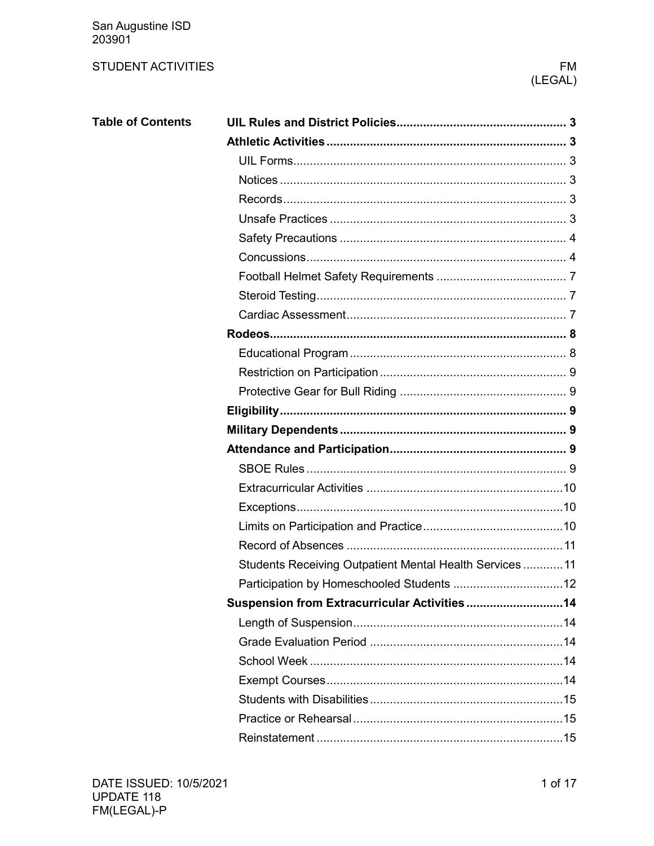San Augustine ISD<br>203901

### **STUDENT ACTIVITIES**

### **FM** (LEGAL)

| <b>Table of Contents</b> |                                                          |  |
|--------------------------|----------------------------------------------------------|--|
|                          |                                                          |  |
|                          |                                                          |  |
|                          |                                                          |  |
|                          |                                                          |  |
|                          |                                                          |  |
|                          |                                                          |  |
|                          |                                                          |  |
|                          |                                                          |  |
|                          |                                                          |  |
|                          |                                                          |  |
|                          |                                                          |  |
|                          |                                                          |  |
|                          |                                                          |  |
|                          |                                                          |  |
|                          |                                                          |  |
|                          |                                                          |  |
|                          |                                                          |  |
|                          |                                                          |  |
|                          |                                                          |  |
|                          |                                                          |  |
|                          |                                                          |  |
|                          |                                                          |  |
|                          | Students Receiving Outpatient Mental Health Services  11 |  |
|                          |                                                          |  |
|                          | Suspension from Extracurricular Activities14             |  |
|                          |                                                          |  |
|                          |                                                          |  |
|                          |                                                          |  |
|                          |                                                          |  |
|                          |                                                          |  |
|                          |                                                          |  |
|                          |                                                          |  |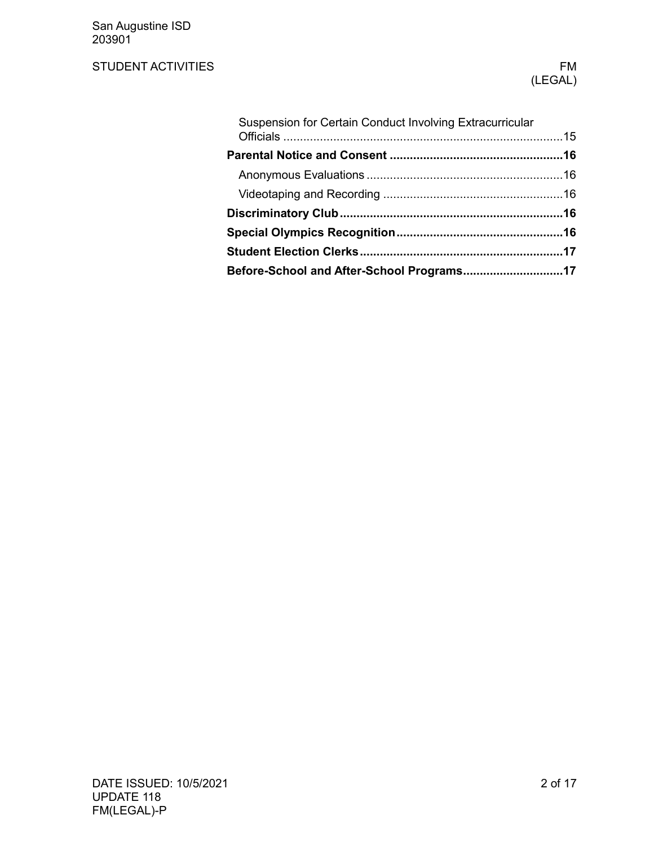San Augustine ISD 203901

## STUDENT ACTIVITIES FM

| Suspension for Certain Conduct Involving Extracurricular |  |
|----------------------------------------------------------|--|
|                                                          |  |
|                                                          |  |
|                                                          |  |
|                                                          |  |
|                                                          |  |
|                                                          |  |
| Before-School and After-School Programs17                |  |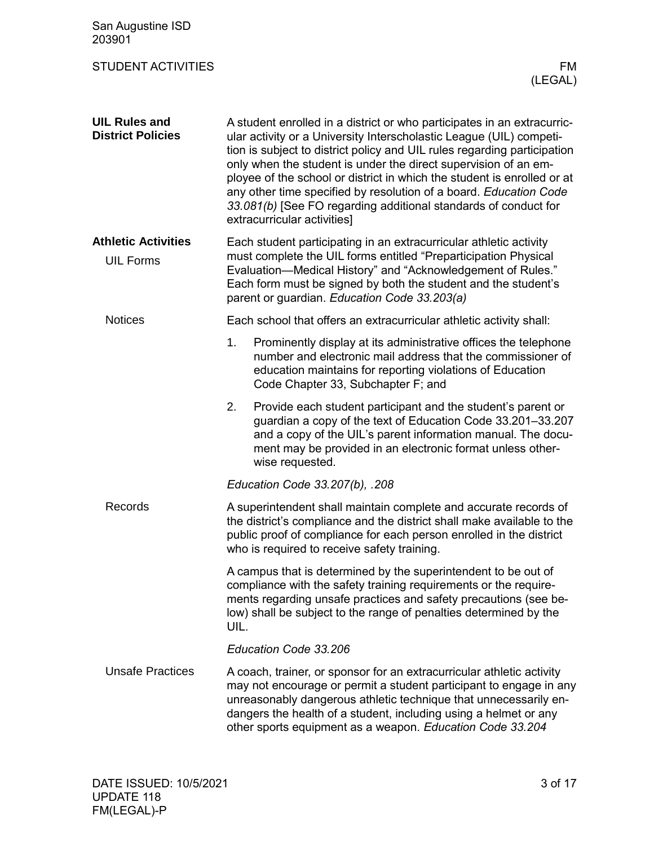<span id="page-2-5"></span><span id="page-2-4"></span><span id="page-2-3"></span><span id="page-2-2"></span><span id="page-2-1"></span><span id="page-2-0"></span>

| San Augustine ISD<br>203901                      |                                                                                                                                                                                                                                                                                                                                                                                                                                                                                                                                                 |
|--------------------------------------------------|-------------------------------------------------------------------------------------------------------------------------------------------------------------------------------------------------------------------------------------------------------------------------------------------------------------------------------------------------------------------------------------------------------------------------------------------------------------------------------------------------------------------------------------------------|
| <b>STUDENT ACTIVITIES</b>                        | FM.<br>(LEGAL)                                                                                                                                                                                                                                                                                                                                                                                                                                                                                                                                  |
| <b>UIL Rules and</b><br><b>District Policies</b> | A student enrolled in a district or who participates in an extracurric-<br>ular activity or a University Interscholastic League (UIL) competi-<br>tion is subject to district policy and UIL rules regarding participation<br>only when the student is under the direct supervision of an em-<br>ployee of the school or district in which the student is enrolled or at<br>any other time specified by resolution of a board. Education Code<br>33.081(b) [See FO regarding additional standards of conduct for<br>extracurricular activities] |
| <b>Athletic Activities</b><br><b>UIL Forms</b>   | Each student participating in an extracurricular athletic activity<br>must complete the UIL forms entitled "Preparticipation Physical<br>Evaluation-Medical History" and "Acknowledgement of Rules."<br>Each form must be signed by both the student and the student's<br>parent or guardian. Education Code 33.203(a)                                                                                                                                                                                                                          |
| <b>Notices</b>                                   | Each school that offers an extracurricular athletic activity shall:                                                                                                                                                                                                                                                                                                                                                                                                                                                                             |
|                                                  | Prominently display at its administrative offices the telephone<br>1.<br>number and electronic mail address that the commissioner of<br>education maintains for reporting violations of Education<br>Code Chapter 33, Subchapter F; and                                                                                                                                                                                                                                                                                                         |
|                                                  | 2.<br>Provide each student participant and the student's parent or<br>guardian a copy of the text of Education Code 33.201-33.207<br>and a copy of the UIL's parent information manual. The docu-<br>ment may be provided in an electronic format unless other-<br>wise requested.                                                                                                                                                                                                                                                              |
|                                                  | Education Code 33.207(b), .208                                                                                                                                                                                                                                                                                                                                                                                                                                                                                                                  |
| Records                                          | A superintendent shall maintain complete and accurate records of<br>the district's compliance and the district shall make available to the<br>public proof of compliance for each person enrolled in the district<br>who is required to receive safety training.                                                                                                                                                                                                                                                                                |
|                                                  | A campus that is determined by the superintendent to be out of<br>compliance with the safety training requirements or the require-<br>ments regarding unsafe practices and safety precautions (see be-<br>low) shall be subject to the range of penalties determined by the<br>UIL.                                                                                                                                                                                                                                                             |
|                                                  | Education Code 33.206                                                                                                                                                                                                                                                                                                                                                                                                                                                                                                                           |
| <b>Unsafe Practices</b>                          | A coach, trainer, or sponsor for an extracurricular athletic activity<br>may not encourage or permit a student participant to engage in any<br>unreasonably dangerous athletic technique that unnecessarily en-<br>dangers the health of a student, including using a helmet or any<br>other sports equipment as a weapon. Education Code 33.204                                                                                                                                                                                                |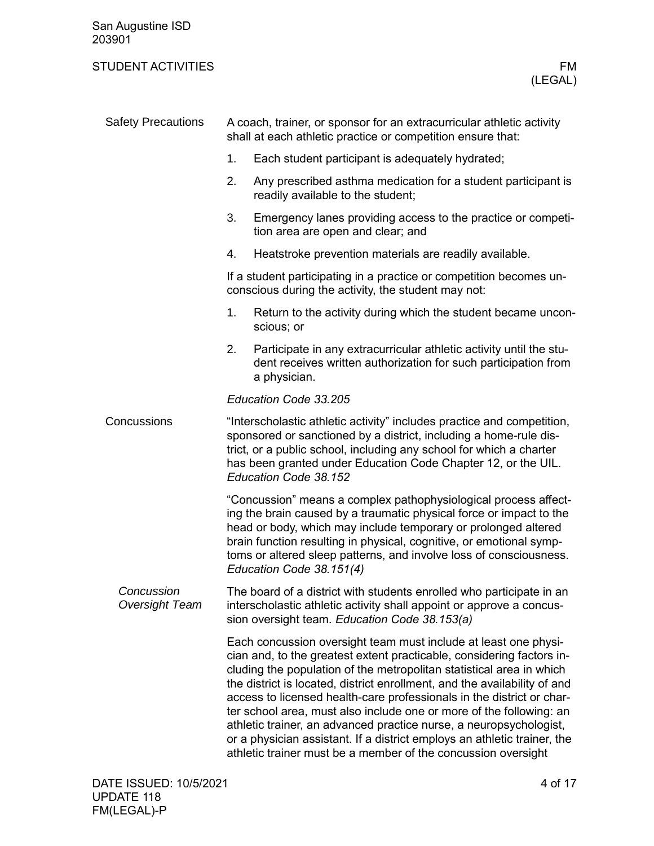<span id="page-3-1"></span><span id="page-3-0"></span>

| San Augustine ISD<br>203901         |                                                                                                                                                                                                                                                                                                                                                                                                                                                                                                                                                                                                                                                                  |  |  |  |
|-------------------------------------|------------------------------------------------------------------------------------------------------------------------------------------------------------------------------------------------------------------------------------------------------------------------------------------------------------------------------------------------------------------------------------------------------------------------------------------------------------------------------------------------------------------------------------------------------------------------------------------------------------------------------------------------------------------|--|--|--|
| <b>STUDENT ACTIVITIES</b>           | FM<br>(LEGAL)                                                                                                                                                                                                                                                                                                                                                                                                                                                                                                                                                                                                                                                    |  |  |  |
| <b>Safety Precautions</b>           | A coach, trainer, or sponsor for an extracurricular athletic activity<br>shall at each athletic practice or competition ensure that:                                                                                                                                                                                                                                                                                                                                                                                                                                                                                                                             |  |  |  |
|                                     | 1.<br>Each student participant is adequately hydrated;                                                                                                                                                                                                                                                                                                                                                                                                                                                                                                                                                                                                           |  |  |  |
|                                     | 2.<br>Any prescribed asthma medication for a student participant is<br>readily available to the student;                                                                                                                                                                                                                                                                                                                                                                                                                                                                                                                                                         |  |  |  |
|                                     | 3.<br>Emergency lanes providing access to the practice or competi-<br>tion area are open and clear; and                                                                                                                                                                                                                                                                                                                                                                                                                                                                                                                                                          |  |  |  |
|                                     | Heatstroke prevention materials are readily available.<br>4.                                                                                                                                                                                                                                                                                                                                                                                                                                                                                                                                                                                                     |  |  |  |
|                                     | If a student participating in a practice or competition becomes un-<br>conscious during the activity, the student may not:                                                                                                                                                                                                                                                                                                                                                                                                                                                                                                                                       |  |  |  |
|                                     | 1.<br>Return to the activity during which the student became uncon-<br>scious; or                                                                                                                                                                                                                                                                                                                                                                                                                                                                                                                                                                                |  |  |  |
|                                     | 2.<br>Participate in any extracurricular athletic activity until the stu-<br>dent receives written authorization for such participation from<br>a physician.                                                                                                                                                                                                                                                                                                                                                                                                                                                                                                     |  |  |  |
|                                     | Education Code 33.205                                                                                                                                                                                                                                                                                                                                                                                                                                                                                                                                                                                                                                            |  |  |  |
| Concussions                         | "Interscholastic athletic activity" includes practice and competition,<br>sponsored or sanctioned by a district, including a home-rule dis-<br>trict, or a public school, including any school for which a charter<br>has been granted under Education Code Chapter 12, or the UIL.<br>Education Code 38.152                                                                                                                                                                                                                                                                                                                                                     |  |  |  |
|                                     | 'Concussion" means a complex pathophysiological process affect-<br>ing the brain caused by a traumatic physical force or impact to the<br>head or body, which may include temporary or prolonged altered<br>brain function resulting in physical, cognitive, or emotional symp-<br>toms or altered sleep patterns, and involve loss of consciousness.<br>Education Code 38.151(4)                                                                                                                                                                                                                                                                                |  |  |  |
| Concussion<br><b>Oversight Team</b> | The board of a district with students enrolled who participate in an<br>interscholastic athletic activity shall appoint or approve a concus-<br>sion oversight team. Education Code 38.153(a)                                                                                                                                                                                                                                                                                                                                                                                                                                                                    |  |  |  |
|                                     | Each concussion oversight team must include at least one physi-<br>cian and, to the greatest extent practicable, considering factors in-<br>cluding the population of the metropolitan statistical area in which<br>the district is located, district enrollment, and the availability of and<br>access to licensed health-care professionals in the district or char-<br>ter school area, must also include one or more of the following: an<br>athletic trainer, an advanced practice nurse, a neuropsychologist,<br>or a physician assistant. If a district employs an athletic trainer, the<br>athletic trainer must be a member of the concussion oversight |  |  |  |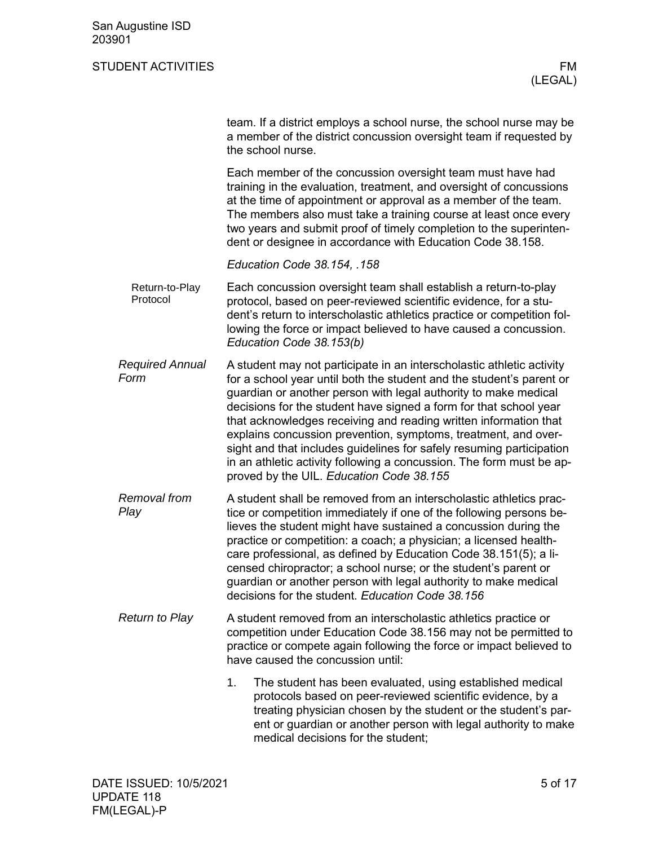|                                | team. If a district employs a school nurse, the school nurse may be<br>a member of the district concussion oversight team if requested by<br>the school nurse.                                                                                                                                                                                                                                                                                                                                                                                                                                                          |
|--------------------------------|-------------------------------------------------------------------------------------------------------------------------------------------------------------------------------------------------------------------------------------------------------------------------------------------------------------------------------------------------------------------------------------------------------------------------------------------------------------------------------------------------------------------------------------------------------------------------------------------------------------------------|
|                                | Each member of the concussion oversight team must have had<br>training in the evaluation, treatment, and oversight of concussions<br>at the time of appointment or approval as a member of the team.<br>The members also must take a training course at least once every<br>two years and submit proof of timely completion to the superinten-<br>dent or designee in accordance with Education Code 38.158.                                                                                                                                                                                                            |
|                                | Education Code 38.154, .158                                                                                                                                                                                                                                                                                                                                                                                                                                                                                                                                                                                             |
| Return-to-Play<br>Protocol     | Each concussion oversight team shall establish a return-to-play<br>protocol, based on peer-reviewed scientific evidence, for a stu-<br>dent's return to interscholastic athletics practice or competition fol-<br>lowing the force or impact believed to have caused a concussion.<br>Education Code 38.153(b)                                                                                                                                                                                                                                                                                                          |
| <b>Required Annual</b><br>Form | A student may not participate in an interscholastic athletic activity<br>for a school year until both the student and the student's parent or<br>guardian or another person with legal authority to make medical<br>decisions for the student have signed a form for that school year<br>that acknowledges receiving and reading written information that<br>explains concussion prevention, symptoms, treatment, and over-<br>sight and that includes guidelines for safely resuming participation<br>in an athletic activity following a concussion. The form must be ap-<br>proved by the UIL. Education Code 38.155 |
| Removal from<br>Play           | A student shall be removed from an interscholastic athletics prac-<br>tice or competition immediately if one of the following persons be-<br>lieves the student might have sustained a concussion during the<br>practice or competition: a coach; a physician; a licensed health-<br>care professional, as defined by Education Code 38.151(5); a li-<br>censed chiropractor; a school nurse; or the student's parent or<br>guardian or another person with legal authority to make medical<br>decisions for the student. Education Code 38.156                                                                         |
| <b>Return to Play</b>          | A student removed from an interscholastic athletics practice or<br>competition under Education Code 38.156 may not be permitted to<br>practice or compete again following the force or impact believed to<br>have caused the concussion until:                                                                                                                                                                                                                                                                                                                                                                          |
|                                | 1.<br>The student has been evaluated, using established medical<br>protocols based on peer-reviewed scientific evidence, by a<br>treating physician chosen by the student or the student's par-<br>ent or guardian or another person with legal authority to make                                                                                                                                                                                                                                                                                                                                                       |

medical decisions for the student;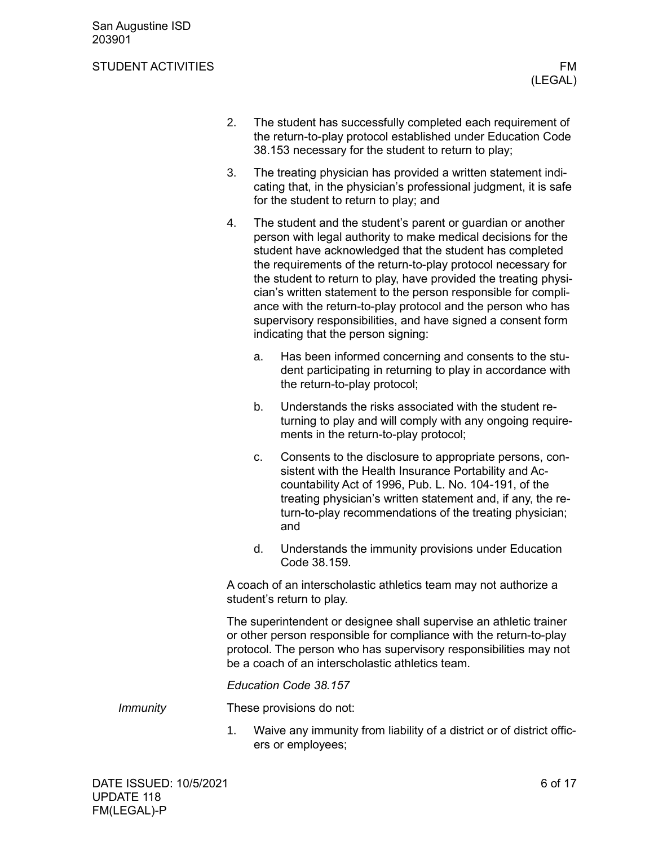- 2. The student has successfully completed each requirement of the return-to-play protocol established under Education Code 38.153 necessary for the student to return to play;
- 3. The treating physician has provided a written statement indicating that, in the physician's professional judgment, it is safe for the student to return to play; and
- 4. The student and the student's parent or guardian or another person with legal authority to make medical decisions for the student have acknowledged that the student has completed the requirements of the return-to-play protocol necessary for the student to return to play, have provided the treating physician's written statement to the person responsible for compliance with the return-to-play protocol and the person who has supervisory responsibilities, and have signed a consent form indicating that the person signing:
	- a. Has been informed concerning and consents to the student participating in returning to play in accordance with the return-to-play protocol;
	- b. Understands the risks associated with the student returning to play and will comply with any ongoing requirements in the return-to-play protocol;
	- c. Consents to the disclosure to appropriate persons, consistent with the Health Insurance Portability and Accountability Act of 1996, Pub. L. No. 104-191, of the treating physician's written statement and, if any, the return-to-play recommendations of the treating physician; and
	- d. Understands the immunity provisions under Education Code 38.159.

A coach of an interscholastic athletics team may not authorize a student's return to play.

The superintendent or designee shall supervise an athletic trainer or other person responsible for compliance with the return-to-play protocol. The person who has supervisory responsibilities may not be a coach of an interscholastic athletics team.

*Education Code 38.157*

These provisions do not: *Immunity*

> 1. Waive any immunity from liability of a district or of district officers or employees;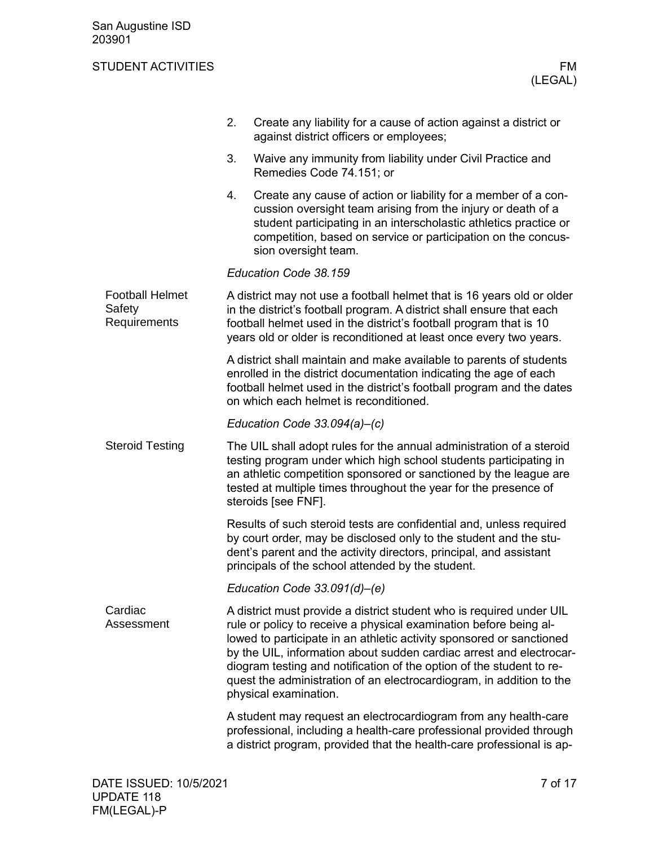<span id="page-6-2"></span><span id="page-6-1"></span><span id="page-6-0"></span>

|                                                  | 2. | Create any liability for a cause of action against a district or<br>against district officers or employees;                                                                                                                                                                                                                                                                                                                                                       |
|--------------------------------------------------|----|-------------------------------------------------------------------------------------------------------------------------------------------------------------------------------------------------------------------------------------------------------------------------------------------------------------------------------------------------------------------------------------------------------------------------------------------------------------------|
|                                                  | 3. | Waive any immunity from liability under Civil Practice and<br>Remedies Code 74.151; or                                                                                                                                                                                                                                                                                                                                                                            |
|                                                  | 4. | Create any cause of action or liability for a member of a con-<br>cussion oversight team arising from the injury or death of a<br>student participating in an interscholastic athletics practice or<br>competition, based on service or participation on the concus-<br>sion oversight team.                                                                                                                                                                      |
|                                                  |    | Education Code 38.159                                                                                                                                                                                                                                                                                                                                                                                                                                             |
| <b>Football Helmet</b><br>Safety<br>Requirements |    | A district may not use a football helmet that is 16 years old or older<br>in the district's football program. A district shall ensure that each<br>football helmet used in the district's football program that is 10<br>years old or older is reconditioned at least once every two years.                                                                                                                                                                       |
|                                                  |    | A district shall maintain and make available to parents of students<br>enrolled in the district documentation indicating the age of each<br>football helmet used in the district's football program and the dates<br>on which each helmet is reconditioned.                                                                                                                                                                                                       |
|                                                  |    | Education Code $33.094(a)$ –(c)                                                                                                                                                                                                                                                                                                                                                                                                                                   |
| <b>Steroid Testing</b>                           |    | The UIL shall adopt rules for the annual administration of a steroid<br>testing program under which high school students participating in<br>an athletic competition sponsored or sanctioned by the league are<br>tested at multiple times throughout the year for the presence of<br>steroids [see FNF].                                                                                                                                                         |
|                                                  |    | Results of such steroid tests are confidential and, unless required<br>by court order, may be disclosed only to the student and the stu-<br>dent's parent and the activity directors, principal, and assistant<br>principals of the school attended by the student.                                                                                                                                                                                               |
|                                                  |    | Education Code $33.091(d)$ –(e)                                                                                                                                                                                                                                                                                                                                                                                                                                   |
| Cardiac<br>Assessment                            |    | A district must provide a district student who is required under UIL<br>rule or policy to receive a physical examination before being al-<br>lowed to participate in an athletic activity sponsored or sanctioned<br>by the UIL, information about sudden cardiac arrest and electrocar-<br>diogram testing and notification of the option of the student to re-<br>quest the administration of an electrocardiogram, in addition to the<br>physical examination. |
|                                                  |    | A student may request an electrocardiogram from any health-care<br>professional, including a health-care professional provided through<br>a district program, provided that the health-care professional is ap-                                                                                                                                                                                                                                                   |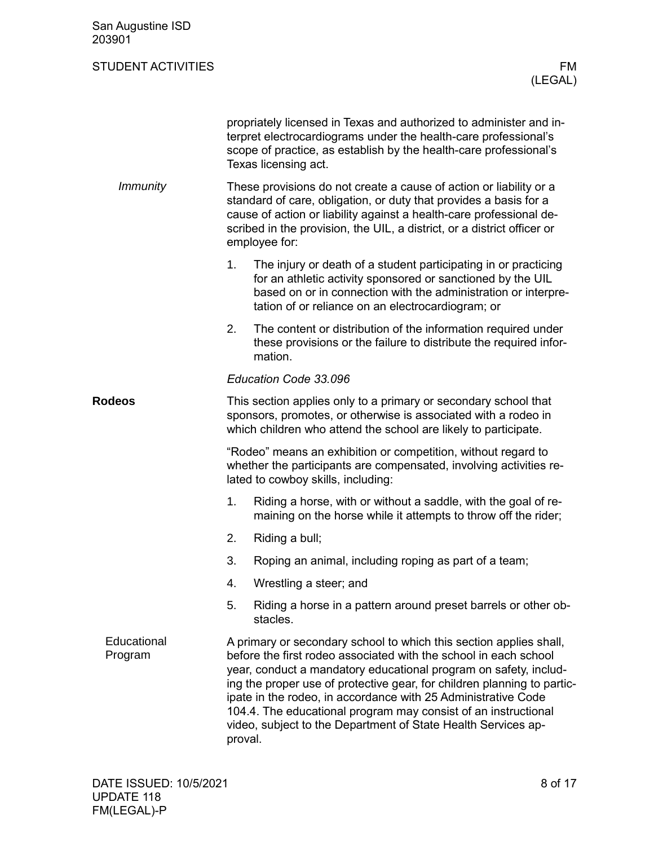<span id="page-7-1"></span><span id="page-7-0"></span>

| San Augustine ISD<br>203901 |         |                                                                                                                                                                                                                                                                                                                                                                                                                                                                                           |
|-----------------------------|---------|-------------------------------------------------------------------------------------------------------------------------------------------------------------------------------------------------------------------------------------------------------------------------------------------------------------------------------------------------------------------------------------------------------------------------------------------------------------------------------------------|
| <b>STUDENT ACTIVITIES</b>   |         | FM<br>(LEGAL)                                                                                                                                                                                                                                                                                                                                                                                                                                                                             |
|                             |         | propriately licensed in Texas and authorized to administer and in-<br>terpret electrocardiograms under the health-care professional's<br>scope of practice, as establish by the health-care professional's<br>Texas licensing act.                                                                                                                                                                                                                                                        |
| <i>Immunity</i>             |         | These provisions do not create a cause of action or liability or a<br>standard of care, obligation, or duty that provides a basis for a<br>cause of action or liability against a health-care professional de-<br>scribed in the provision, the UIL, a district, or a district officer or<br>employee for:                                                                                                                                                                                |
|                             | 1.      | The injury or death of a student participating in or practicing<br>for an athletic activity sponsored or sanctioned by the UIL<br>based on or in connection with the administration or interpre-<br>tation of or reliance on an electrocardiogram; or                                                                                                                                                                                                                                     |
|                             | 2.      | The content or distribution of the information required under<br>these provisions or the failure to distribute the required infor-<br>mation.                                                                                                                                                                                                                                                                                                                                             |
|                             |         | Education Code 33.096                                                                                                                                                                                                                                                                                                                                                                                                                                                                     |
| <b>Rodeos</b>               |         | This section applies only to a primary or secondary school that<br>sponsors, promotes, or otherwise is associated with a rodeo in<br>which children who attend the school are likely to participate.                                                                                                                                                                                                                                                                                      |
|                             |         | "Rodeo" means an exhibition or competition, without regard to<br>whether the participants are compensated, involving activities re-<br>lated to cowboy skills, including:                                                                                                                                                                                                                                                                                                                 |
|                             | 1.      | Riding a horse, with or without a saddle, with the goal of re-<br>maining on the horse while it attempts to throw off the rider;                                                                                                                                                                                                                                                                                                                                                          |
|                             | 2.      | Riding a bull;                                                                                                                                                                                                                                                                                                                                                                                                                                                                            |
|                             | 3.      | Roping an animal, including roping as part of a team;                                                                                                                                                                                                                                                                                                                                                                                                                                     |
|                             | 4.      | Wrestling a steer; and                                                                                                                                                                                                                                                                                                                                                                                                                                                                    |
|                             | 5.      | Riding a horse in a pattern around preset barrels or other ob-<br>stacles.                                                                                                                                                                                                                                                                                                                                                                                                                |
| Educational<br>Program      | proval. | A primary or secondary school to which this section applies shall,<br>before the first rodeo associated with the school in each school<br>year, conduct a mandatory educational program on safety, includ-<br>ing the proper use of protective gear, for children planning to partic-<br>ipate in the rodeo, in accordance with 25 Administrative Code<br>104.4. The educational program may consist of an instructional<br>video, subject to the Department of State Health Services ap- |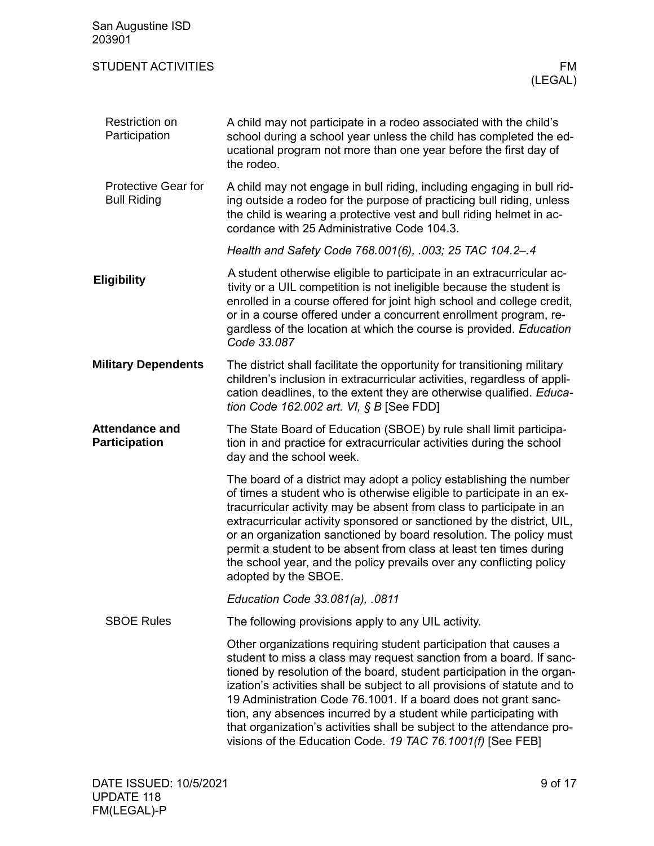<span id="page-8-5"></span><span id="page-8-4"></span><span id="page-8-3"></span><span id="page-8-2"></span><span id="page-8-1"></span><span id="page-8-0"></span>

| San Augustine ISD<br>203901                      |                                                                                                                                                                                                                                                                                                                                                                                                                                                                                                                                                                                 |
|--------------------------------------------------|---------------------------------------------------------------------------------------------------------------------------------------------------------------------------------------------------------------------------------------------------------------------------------------------------------------------------------------------------------------------------------------------------------------------------------------------------------------------------------------------------------------------------------------------------------------------------------|
| <b>STUDENT ACTIVITIES</b>                        | FM<br>(LEGAL)                                                                                                                                                                                                                                                                                                                                                                                                                                                                                                                                                                   |
| <b>Restriction on</b><br>Participation           | A child may not participate in a rodeo associated with the child's<br>school during a school year unless the child has completed the ed-<br>ucational program not more than one year before the first day of<br>the rodeo.                                                                                                                                                                                                                                                                                                                                                      |
| <b>Protective Gear for</b><br><b>Bull Riding</b> | A child may not engage in bull riding, including engaging in bull rid-<br>ing outside a rodeo for the purpose of practicing bull riding, unless<br>the child is wearing a protective vest and bull riding helmet in ac-<br>cordance with 25 Administrative Code 104.3.                                                                                                                                                                                                                                                                                                          |
|                                                  | Health and Safety Code 768.001(6), .003; 25 TAC 104.2-.4                                                                                                                                                                                                                                                                                                                                                                                                                                                                                                                        |
| <b>Eligibility</b>                               | A student otherwise eligible to participate in an extracurricular ac-<br>tivity or a UIL competition is not ineligible because the student is<br>enrolled in a course offered for joint high school and college credit,<br>or in a course offered under a concurrent enrollment program, re-<br>gardless of the location at which the course is provided. Education<br>Code 33.087                                                                                                                                                                                              |
| <b>Military Dependents</b>                       | The district shall facilitate the opportunity for transitioning military<br>children's inclusion in extracurricular activities, regardless of appli-<br>cation deadlines, to the extent they are otherwise qualified. Educa-<br>tion Code 162.002 art. VI, § B [See FDD]                                                                                                                                                                                                                                                                                                        |
| <b>Attendance and</b><br><b>Participation</b>    | The State Board of Education (SBOE) by rule shall limit participa-<br>tion in and practice for extracurricular activities during the school<br>day and the school week.                                                                                                                                                                                                                                                                                                                                                                                                         |
|                                                  | The board of a district may adopt a policy establishing the number<br>of times a student who is otherwise eligible to participate in an ex-<br>tracurricular activity may be absent from class to participate in an<br>extracurricular activity sponsored or sanctioned by the district, UIL,<br>or an organization sanctioned by board resolution. The policy must<br>permit a student to be absent from class at least ten times during<br>the school year, and the policy prevails over any conflicting policy<br>adopted by the SBOE.                                       |
|                                                  | Education Code 33.081(a), .0811                                                                                                                                                                                                                                                                                                                                                                                                                                                                                                                                                 |
| <b>SBOE Rules</b>                                | The following provisions apply to any UIL activity.                                                                                                                                                                                                                                                                                                                                                                                                                                                                                                                             |
|                                                  | Other organizations requiring student participation that causes a<br>student to miss a class may request sanction from a board. If sanc-<br>tioned by resolution of the board, student participation in the organ-<br>ization's activities shall be subject to all provisions of statute and to<br>19 Administration Code 76.1001. If a board does not grant sanc-<br>tion, any absences incurred by a student while participating with<br>that organization's activities shall be subject to the attendance pro-<br>visions of the Education Code. 19 TAC 76.1001(f) [See FEB] |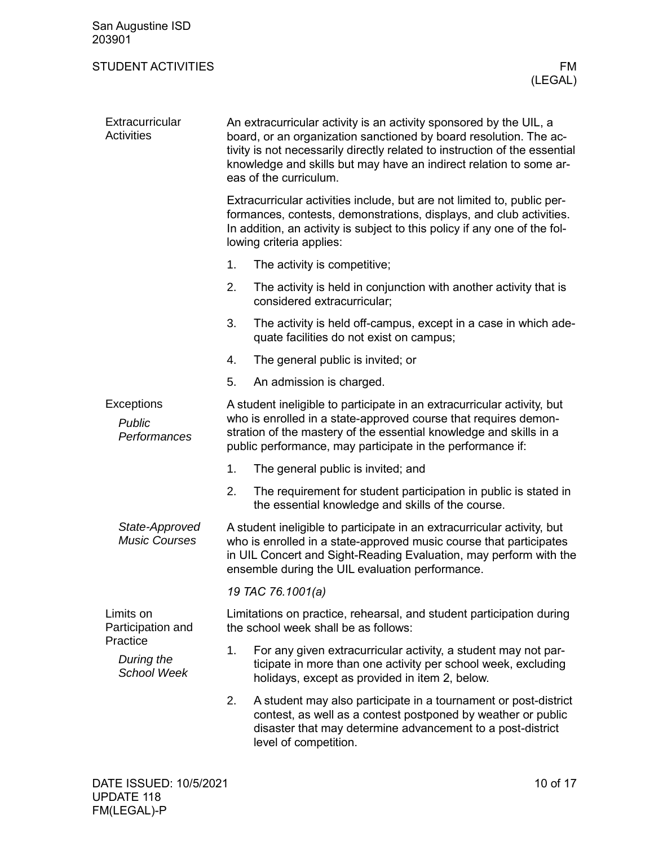<span id="page-9-2"></span><span id="page-9-1"></span><span id="page-9-0"></span>

| San Augustine ISD<br>203901                  |                                                                                                                                                                                                                                                                                                                       |                                                                                                                                                                                                                                                                                |  |
|----------------------------------------------|-----------------------------------------------------------------------------------------------------------------------------------------------------------------------------------------------------------------------------------------------------------------------------------------------------------------------|--------------------------------------------------------------------------------------------------------------------------------------------------------------------------------------------------------------------------------------------------------------------------------|--|
| <b>STUDENT ACTIVITIES</b>                    |                                                                                                                                                                                                                                                                                                                       | FM.<br>(LEGAL)                                                                                                                                                                                                                                                                 |  |
| Extracurricular<br><b>Activities</b>         | An extracurricular activity is an activity sponsored by the UIL, a<br>board, or an organization sanctioned by board resolution. The ac-<br>tivity is not necessarily directly related to instruction of the essential<br>knowledge and skills but may have an indirect relation to some ar-<br>eas of the curriculum. |                                                                                                                                                                                                                                                                                |  |
|                                              |                                                                                                                                                                                                                                                                                                                       | Extracurricular activities include, but are not limited to, public per-<br>formances, contests, demonstrations, displays, and club activities.<br>In addition, an activity is subject to this policy if any one of the fol-<br>lowing criteria applies:                        |  |
|                                              | 1.                                                                                                                                                                                                                                                                                                                    | The activity is competitive;                                                                                                                                                                                                                                                   |  |
|                                              | 2.                                                                                                                                                                                                                                                                                                                    | The activity is held in conjunction with another activity that is<br>considered extracurricular;                                                                                                                                                                               |  |
|                                              | 3.                                                                                                                                                                                                                                                                                                                    | The activity is held off-campus, except in a case in which ade-<br>quate facilities do not exist on campus;                                                                                                                                                                    |  |
|                                              | 4.                                                                                                                                                                                                                                                                                                                    | The general public is invited; or                                                                                                                                                                                                                                              |  |
|                                              | 5.                                                                                                                                                                                                                                                                                                                    | An admission is charged.                                                                                                                                                                                                                                                       |  |
| Exceptions<br>Public<br>Performances         |                                                                                                                                                                                                                                                                                                                       | A student ineligible to participate in an extracurricular activity, but<br>who is enrolled in a state-approved course that requires demon-<br>stration of the mastery of the essential knowledge and skills in a<br>public performance, may participate in the performance if: |  |
|                                              | 1.                                                                                                                                                                                                                                                                                                                    | The general public is invited; and                                                                                                                                                                                                                                             |  |
|                                              | 2.                                                                                                                                                                                                                                                                                                                    | The requirement for student participation in public is stated in<br>the essential knowledge and skills of the course.                                                                                                                                                          |  |
| State-Approved<br><b>Music Courses</b>       |                                                                                                                                                                                                                                                                                                                       | A student ineligible to participate in an extracurricular activity, but<br>who is enrolled in a state-approved music course that participates<br>in UIL Concert and Sight-Reading Evaluation, may perform with the<br>ensemble during the UIL evaluation performance.          |  |
|                                              |                                                                                                                                                                                                                                                                                                                       | 19 TAC 76.1001(a)                                                                                                                                                                                                                                                              |  |
| Limits on<br>Participation and               |                                                                                                                                                                                                                                                                                                                       | Limitations on practice, rehearsal, and student participation during<br>the school week shall be as follows:                                                                                                                                                                   |  |
| Practice<br>During the<br><b>School Week</b> | 1.                                                                                                                                                                                                                                                                                                                    | For any given extracurricular activity, a student may not par-<br>ticipate in more than one activity per school week, excluding<br>holidays, except as provided in item 2, below.                                                                                              |  |
|                                              | 2.                                                                                                                                                                                                                                                                                                                    | A student may also participate in a tournament or post-district<br>contest, as well as a contest postponed by weather or public<br>disaster that may determine advancement to a post-district<br>level of competition.                                                         |  |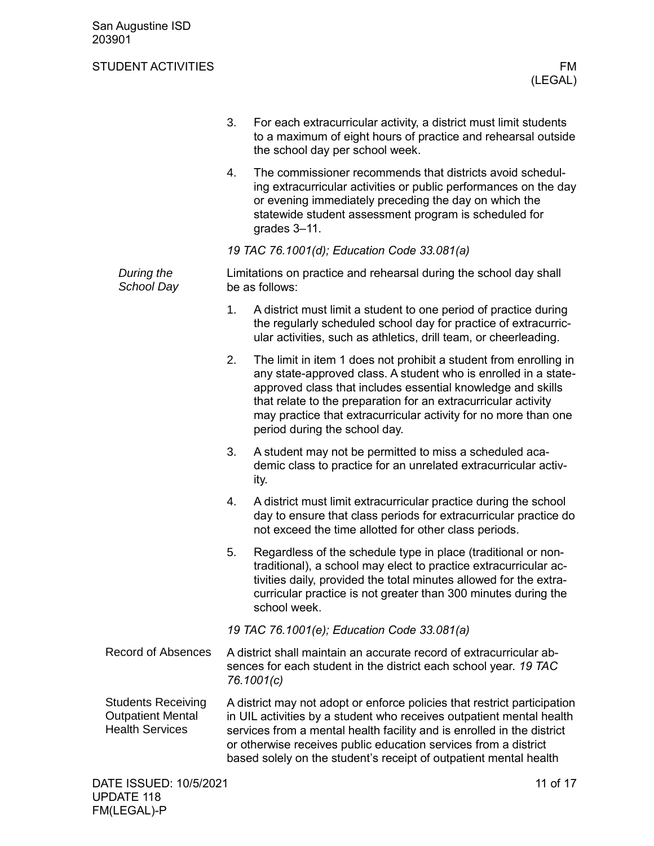<span id="page-10-1"></span><span id="page-10-0"></span>

|                                                                                 | 3.                                          | For each extracurricular activity, a district must limit students<br>to a maximum of eight hours of practice and rehearsal outside<br>the school day per school week.                                                                                                                                                                                                     |  |  |
|---------------------------------------------------------------------------------|---------------------------------------------|---------------------------------------------------------------------------------------------------------------------------------------------------------------------------------------------------------------------------------------------------------------------------------------------------------------------------------------------------------------------------|--|--|
|                                                                                 | 4.                                          | The commissioner recommends that districts avoid schedul-<br>ing extracurricular activities or public performances on the day<br>or evening immediately preceding the day on which the<br>statewide student assessment program is scheduled for<br>grades 3-11.                                                                                                           |  |  |
|                                                                                 |                                             | 19 TAC 76.1001(d); Education Code 33.081(a)                                                                                                                                                                                                                                                                                                                               |  |  |
| During the<br>School Day                                                        |                                             | Limitations on practice and rehearsal during the school day shall<br>be as follows:                                                                                                                                                                                                                                                                                       |  |  |
|                                                                                 | 1.                                          | A district must limit a student to one period of practice during<br>the regularly scheduled school day for practice of extracurric-<br>ular activities, such as athletics, drill team, or cheerleading.                                                                                                                                                                   |  |  |
|                                                                                 | 2.                                          | The limit in item 1 does not prohibit a student from enrolling in<br>any state-approved class. A student who is enrolled in a state-<br>approved class that includes essential knowledge and skills<br>that relate to the preparation for an extracurricular activity<br>may practice that extracurricular activity for no more than one<br>period during the school day. |  |  |
|                                                                                 | 3.                                          | A student may not be permitted to miss a scheduled aca-<br>demic class to practice for an unrelated extracurricular activ-<br>ity.                                                                                                                                                                                                                                        |  |  |
|                                                                                 | 4.                                          | A district must limit extracurricular practice during the school<br>day to ensure that class periods for extracurricular practice do<br>not exceed the time allotted for other class periods.                                                                                                                                                                             |  |  |
|                                                                                 | 5.                                          | Regardless of the schedule type in place (traditional or non-<br>traditional), a school may elect to practice extracurricular ac-<br>tivities daily, provided the total minutes allowed for the extra-<br>curricular practice is not greater than 300 minutes during the<br>school week.                                                                                  |  |  |
|                                                                                 | 19 TAC 76.1001(e); Education Code 33.081(a) |                                                                                                                                                                                                                                                                                                                                                                           |  |  |
| <b>Record of Absences</b>                                                       |                                             | A district shall maintain an accurate record of extracurricular ab-<br>sences for each student in the district each school year. 19 TAC<br>76.1001(c)                                                                                                                                                                                                                     |  |  |
| <b>Students Receiving</b><br><b>Outpatient Mental</b><br><b>Health Services</b> |                                             | A district may not adopt or enforce policies that restrict participation<br>in UIL activities by a student who receives outpatient mental health<br>services from a mental health facility and is enrolled in the district<br>or otherwise receives public education services from a district<br>based solely on the student's receipt of outpatient mental health        |  |  |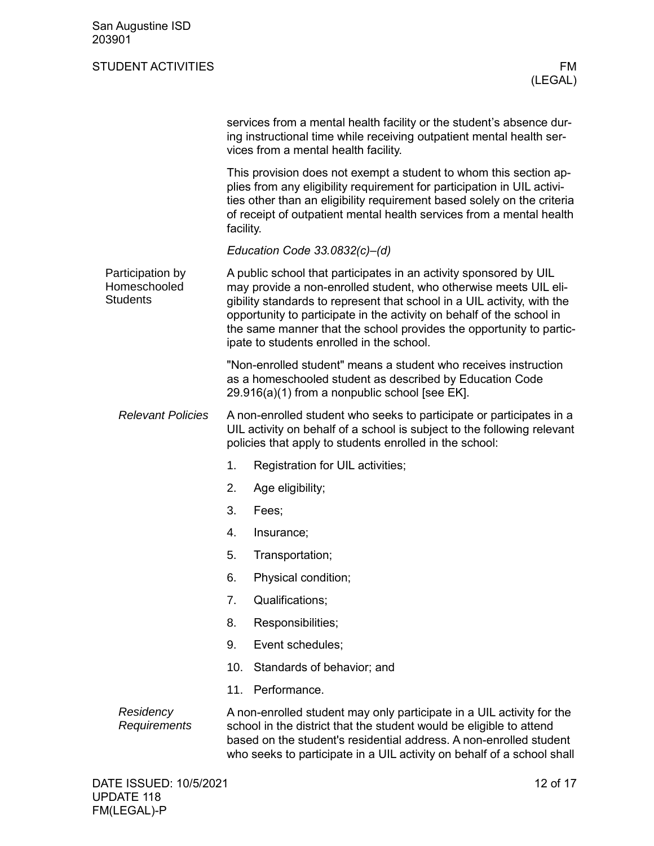<span id="page-11-0"></span>

| San Augustine ISD<br>203901                         |                                                                                                                                                                                                                                                                                                                                                                                                               |                                                                                                                                                                                                                                                                                                 |  |
|-----------------------------------------------------|---------------------------------------------------------------------------------------------------------------------------------------------------------------------------------------------------------------------------------------------------------------------------------------------------------------------------------------------------------------------------------------------------------------|-------------------------------------------------------------------------------------------------------------------------------------------------------------------------------------------------------------------------------------------------------------------------------------------------|--|
| <b>STUDENT ACTIVITIES</b>                           |                                                                                                                                                                                                                                                                                                                                                                                                               | FM<br>(LEGAL)                                                                                                                                                                                                                                                                                   |  |
|                                                     |                                                                                                                                                                                                                                                                                                                                                                                                               | services from a mental health facility or the student's absence dur-<br>ing instructional time while receiving outpatient mental health ser-<br>vices from a mental health facility.                                                                                                            |  |
|                                                     | facility.                                                                                                                                                                                                                                                                                                                                                                                                     | This provision does not exempt a student to whom this section ap-<br>plies from any eligibility requirement for participation in UIL activi-<br>ties other than an eligibility requirement based solely on the criteria<br>of receipt of outpatient mental health services from a mental health |  |
|                                                     |                                                                                                                                                                                                                                                                                                                                                                                                               | Education Code $33.0832(c)$ -(d)                                                                                                                                                                                                                                                                |  |
| Participation by<br>Homeschooled<br><b>Students</b> | A public school that participates in an activity sponsored by UIL<br>may provide a non-enrolled student, who otherwise meets UIL eli-<br>gibility standards to represent that school in a UIL activity, with the<br>opportunity to participate in the activity on behalf of the school in<br>the same manner that the school provides the opportunity to partic-<br>ipate to students enrolled in the school. |                                                                                                                                                                                                                                                                                                 |  |
|                                                     |                                                                                                                                                                                                                                                                                                                                                                                                               | "Non-enrolled student" means a student who receives instruction<br>as a homeschooled student as described by Education Code<br>29.916(a)(1) from a nonpublic school [see EK].                                                                                                                   |  |
| <b>Relevant Policies</b>                            |                                                                                                                                                                                                                                                                                                                                                                                                               | A non-enrolled student who seeks to participate or participates in a<br>UIL activity on behalf of a school is subject to the following relevant<br>policies that apply to students enrolled in the school:                                                                                      |  |
|                                                     | 1.                                                                                                                                                                                                                                                                                                                                                                                                            | Registration for UIL activities;                                                                                                                                                                                                                                                                |  |
|                                                     | 2.                                                                                                                                                                                                                                                                                                                                                                                                            | Age eligibility;                                                                                                                                                                                                                                                                                |  |
|                                                     | 3.                                                                                                                                                                                                                                                                                                                                                                                                            | Fees;                                                                                                                                                                                                                                                                                           |  |
|                                                     | 4.                                                                                                                                                                                                                                                                                                                                                                                                            | Insurance;                                                                                                                                                                                                                                                                                      |  |
|                                                     | 5.                                                                                                                                                                                                                                                                                                                                                                                                            | Transportation;                                                                                                                                                                                                                                                                                 |  |
|                                                     | 6.                                                                                                                                                                                                                                                                                                                                                                                                            | Physical condition;                                                                                                                                                                                                                                                                             |  |
|                                                     | 7.                                                                                                                                                                                                                                                                                                                                                                                                            | Qualifications;                                                                                                                                                                                                                                                                                 |  |
|                                                     | 8.                                                                                                                                                                                                                                                                                                                                                                                                            | Responsibilities;                                                                                                                                                                                                                                                                               |  |
|                                                     | 9.                                                                                                                                                                                                                                                                                                                                                                                                            | Event schedules;                                                                                                                                                                                                                                                                                |  |
|                                                     | 10.                                                                                                                                                                                                                                                                                                                                                                                                           | Standards of behavior; and                                                                                                                                                                                                                                                                      |  |
|                                                     | 11.                                                                                                                                                                                                                                                                                                                                                                                                           | Performance.                                                                                                                                                                                                                                                                                    |  |
| Residency<br>Requirements                           |                                                                                                                                                                                                                                                                                                                                                                                                               | A non-enrolled student may only participate in a UIL activity for the<br>school in the district that the student would be eligible to attend<br>based on the student's residential address. A non-enrolled student<br>who seeks to participate in a UIL activity on behalf of a school shall    |  |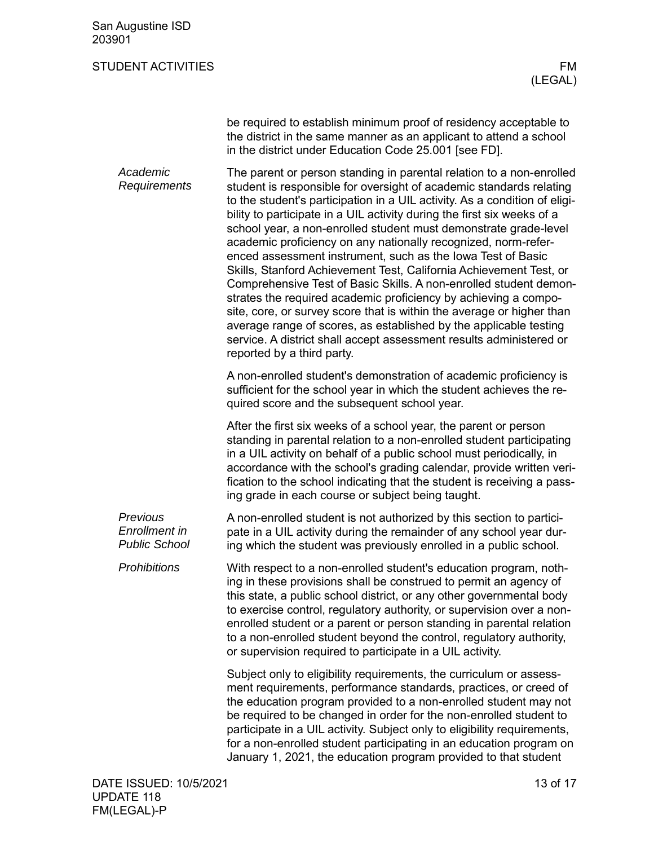| San Augustine ISD<br>203901                       |                                                                                                                                                                                                                                                                                                                                                                                                                                                                                                                                                                                                                                                                                                                                                                                                                                                                                                                                                                            |
|---------------------------------------------------|----------------------------------------------------------------------------------------------------------------------------------------------------------------------------------------------------------------------------------------------------------------------------------------------------------------------------------------------------------------------------------------------------------------------------------------------------------------------------------------------------------------------------------------------------------------------------------------------------------------------------------------------------------------------------------------------------------------------------------------------------------------------------------------------------------------------------------------------------------------------------------------------------------------------------------------------------------------------------|
| <b>STUDENT ACTIVITIES</b>                         | FM<br>(LEGAL)                                                                                                                                                                                                                                                                                                                                                                                                                                                                                                                                                                                                                                                                                                                                                                                                                                                                                                                                                              |
|                                                   | be required to establish minimum proof of residency acceptable to<br>the district in the same manner as an applicant to attend a school<br>in the district under Education Code 25.001 [see FD].                                                                                                                                                                                                                                                                                                                                                                                                                                                                                                                                                                                                                                                                                                                                                                           |
| Academic<br>Requirements                          | The parent or person standing in parental relation to a non-enrolled<br>student is responsible for oversight of academic standards relating<br>to the student's participation in a UIL activity. As a condition of eligi-<br>bility to participate in a UIL activity during the first six weeks of a<br>school year, a non-enrolled student must demonstrate grade-level<br>academic proficiency on any nationally recognized, norm-refer-<br>enced assessment instrument, such as the Iowa Test of Basic<br>Skills, Stanford Achievement Test, California Achievement Test, or<br>Comprehensive Test of Basic Skills. A non-enrolled student demon-<br>strates the required academic proficiency by achieving a compo-<br>site, core, or survey score that is within the average or higher than<br>average range of scores, as established by the applicable testing<br>service. A district shall accept assessment results administered or<br>reported by a third party. |
|                                                   | A non-enrolled student's demonstration of academic proficiency is<br>sufficient for the school year in which the student achieves the re-<br>quired score and the subsequent school year.                                                                                                                                                                                                                                                                                                                                                                                                                                                                                                                                                                                                                                                                                                                                                                                  |
|                                                   | After the first six weeks of a school year, the parent or person<br>standing in parental relation to a non-enrolled student participating<br>in a UIL activity on behalf of a public school must periodically, in<br>accordance with the school's grading calendar, provide written veri-<br>fication to the school indicating that the student is receiving a pass-<br>ing grade in each course or subject being taught.                                                                                                                                                                                                                                                                                                                                                                                                                                                                                                                                                  |
| Previous<br>Enrollment in<br><b>Public School</b> | A non-enrolled student is not authorized by this section to partici-<br>pate in a UIL activity during the remainder of any school year dur-<br>ing which the student was previously enrolled in a public school.                                                                                                                                                                                                                                                                                                                                                                                                                                                                                                                                                                                                                                                                                                                                                           |
| <b>Prohibitions</b>                               | With respect to a non-enrolled student's education program, noth-<br>ing in these provisions shall be construed to permit an agency of<br>this state, a public school district, or any other governmental body<br>to exercise control, regulatory authority, or supervision over a non-<br>enrolled student or a parent or person standing in parental relation<br>to a non-enrolled student beyond the control, regulatory authority,<br>or supervision required to participate in a UIL activity.                                                                                                                                                                                                                                                                                                                                                                                                                                                                        |
|                                                   | Subject only to eligibility requirements, the curriculum or assess-<br>ment requirements, performance standards, practices, or creed of<br>the education program provided to a non-enrolled student may not<br>be required to be changed in order for the non-enrolled student to<br>participate in a UIL activity. Subject only to eligibility requirements,<br>for a non-enrolled student participating in an education program on<br>January 1, 2021, the education program provided to that student                                                                                                                                                                                                                                                                                                                                                                                                                                                                    |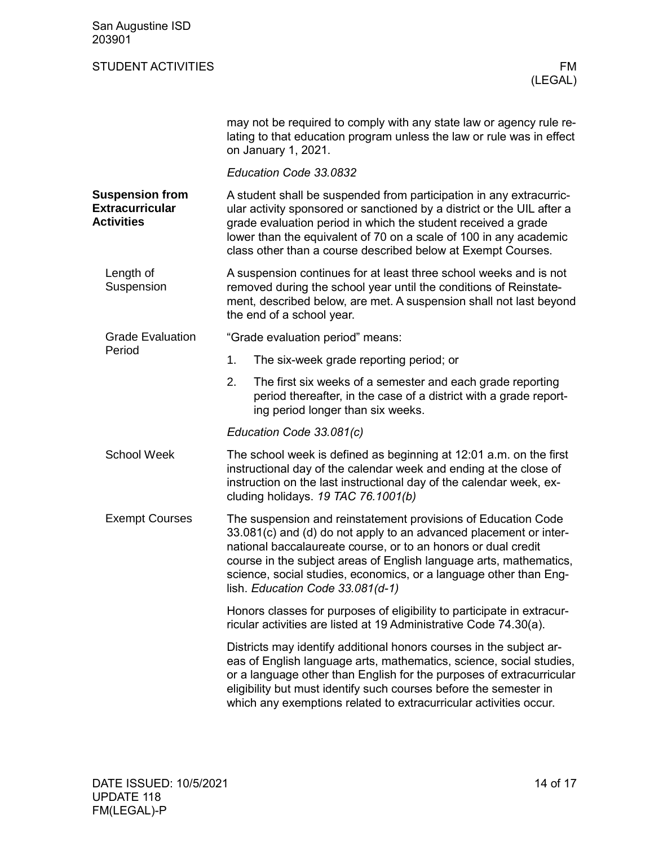<span id="page-13-4"></span><span id="page-13-3"></span><span id="page-13-2"></span><span id="page-13-1"></span><span id="page-13-0"></span>

| San Augustine ISD<br>203901                                           |                                                                                                                                                                                                                                                                                                                                                                                    |
|-----------------------------------------------------------------------|------------------------------------------------------------------------------------------------------------------------------------------------------------------------------------------------------------------------------------------------------------------------------------------------------------------------------------------------------------------------------------|
| <b>STUDENT ACTIVITIES</b>                                             | FM<br>(LEGAL)                                                                                                                                                                                                                                                                                                                                                                      |
|                                                                       | may not be required to comply with any state law or agency rule re-<br>lating to that education program unless the law or rule was in effect<br>on January 1, 2021.                                                                                                                                                                                                                |
|                                                                       | Education Code 33.0832                                                                                                                                                                                                                                                                                                                                                             |
| <b>Suspension from</b><br><b>Extracurricular</b><br><b>Activities</b> | A student shall be suspended from participation in any extracurric-<br>ular activity sponsored or sanctioned by a district or the UIL after a<br>grade evaluation period in which the student received a grade<br>lower than the equivalent of 70 on a scale of 100 in any academic<br>class other than a course described below at Exempt Courses.                                |
| Length of<br>Suspension                                               | A suspension continues for at least three school weeks and is not<br>removed during the school year until the conditions of Reinstate-<br>ment, described below, are met. A suspension shall not last beyond<br>the end of a school year.                                                                                                                                          |
| <b>Grade Evaluation</b>                                               | "Grade evaluation period" means:                                                                                                                                                                                                                                                                                                                                                   |
| Period                                                                | 1.<br>The six-week grade reporting period; or                                                                                                                                                                                                                                                                                                                                      |
|                                                                       | 2.<br>The first six weeks of a semester and each grade reporting<br>period thereafter, in the case of a district with a grade report-<br>ing period longer than six weeks.                                                                                                                                                                                                         |
|                                                                       | Education Code 33.081(c)                                                                                                                                                                                                                                                                                                                                                           |
| <b>School Week</b>                                                    | The school week is defined as beginning at 12:01 a.m. on the first<br>instructional day of the calendar week and ending at the close of<br>instruction on the last instructional day of the calendar week, ex-<br>cluding holidays. 19 TAC 76.1001(b)                                                                                                                              |
| <b>Exempt Courses</b>                                                 | The suspension and reinstatement provisions of Education Code<br>33.081(c) and (d) do not apply to an advanced placement or inter-<br>national baccalaureate course, or to an honors or dual credit<br>course in the subject areas of English language arts, mathematics,<br>science, social studies, economics, or a language other than Eng-<br>lish. Education Code 33.081(d-1) |
|                                                                       | Honors classes for purposes of eligibility to participate in extracur-<br>ricular activities are listed at 19 Administrative Code 74.30(a).                                                                                                                                                                                                                                        |
|                                                                       | Districts may identify additional honors courses in the subject ar-<br>eas of English language arts, mathematics, science, social studies,<br>or a language other than English for the purposes of extracurricular<br>eligibility but must identify such courses before the semester in<br>which any exemptions related to extracurricular activities occur.                       |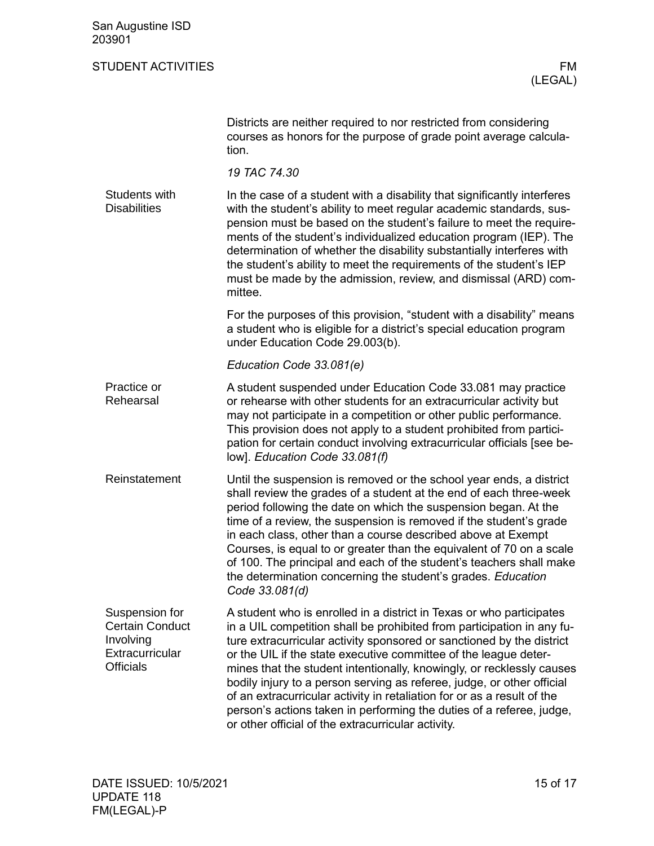<span id="page-14-3"></span><span id="page-14-2"></span><span id="page-14-1"></span><span id="page-14-0"></span>

| San Augustine ISD<br>203901                                                                  |                                                                                                                                                                                                                                                                                                                                                                                                                                                                                                                                                                                                                                                         |
|----------------------------------------------------------------------------------------------|---------------------------------------------------------------------------------------------------------------------------------------------------------------------------------------------------------------------------------------------------------------------------------------------------------------------------------------------------------------------------------------------------------------------------------------------------------------------------------------------------------------------------------------------------------------------------------------------------------------------------------------------------------|
| <b>STUDENT ACTIVITIES</b>                                                                    | <b>FM</b><br>(LEGAL)                                                                                                                                                                                                                                                                                                                                                                                                                                                                                                                                                                                                                                    |
|                                                                                              | Districts are neither required to nor restricted from considering<br>courses as honors for the purpose of grade point average calcula-<br>tion.                                                                                                                                                                                                                                                                                                                                                                                                                                                                                                         |
|                                                                                              | 19 TAC 74.30                                                                                                                                                                                                                                                                                                                                                                                                                                                                                                                                                                                                                                            |
| Students with<br><b>Disabilities</b>                                                         | In the case of a student with a disability that significantly interferes<br>with the student's ability to meet regular academic standards, sus-<br>pension must be based on the student's failure to meet the require-<br>ments of the student's individualized education program (IEP). The<br>determination of whether the disability substantially interferes with<br>the student's ability to meet the requirements of the student's IEP<br>must be made by the admission, review, and dismissal (ARD) com-<br>mittee.                                                                                                                              |
|                                                                                              | For the purposes of this provision, "student with a disability" means<br>a student who is eligible for a district's special education program<br>under Education Code 29.003(b).                                                                                                                                                                                                                                                                                                                                                                                                                                                                        |
|                                                                                              | Education Code 33.081(e)                                                                                                                                                                                                                                                                                                                                                                                                                                                                                                                                                                                                                                |
| Practice or<br>Rehearsal                                                                     | A student suspended under Education Code 33.081 may practice<br>or rehearse with other students for an extracurricular activity but<br>may not participate in a competition or other public performance.<br>This provision does not apply to a student prohibited from partici-<br>pation for certain conduct involving extracurricular officials [see be-<br>low]. Education Code 33.081(f)                                                                                                                                                                                                                                                            |
| Reinstatement                                                                                | Until the suspension is removed or the school year ends, a district<br>shall review the grades of a student at the end of each three-week<br>period following the date on which the suspension began. At the<br>time of a review, the suspension is removed if the student's grade<br>in each class, other than a course described above at Exempt<br>Courses, is equal to or greater than the equivalent of 70 on a scale<br>of 100. The principal and each of the student's teachers shall make<br>the determination concerning the student's grades. Education<br>Code 33.081(d)                                                                     |
| Suspension for<br><b>Certain Conduct</b><br>Involving<br>Extracurricular<br><b>Officials</b> | A student who is enrolled in a district in Texas or who participates<br>in a UIL competition shall be prohibited from participation in any fu-<br>ture extracurricular activity sponsored or sanctioned by the district<br>or the UIL if the state executive committee of the league deter-<br>mines that the student intentionally, knowingly, or recklessly causes<br>bodily injury to a person serving as referee, judge, or other official<br>of an extracurricular activity in retaliation for or as a result of the<br>person's actions taken in performing the duties of a referee, judge,<br>or other official of the extracurricular activity. |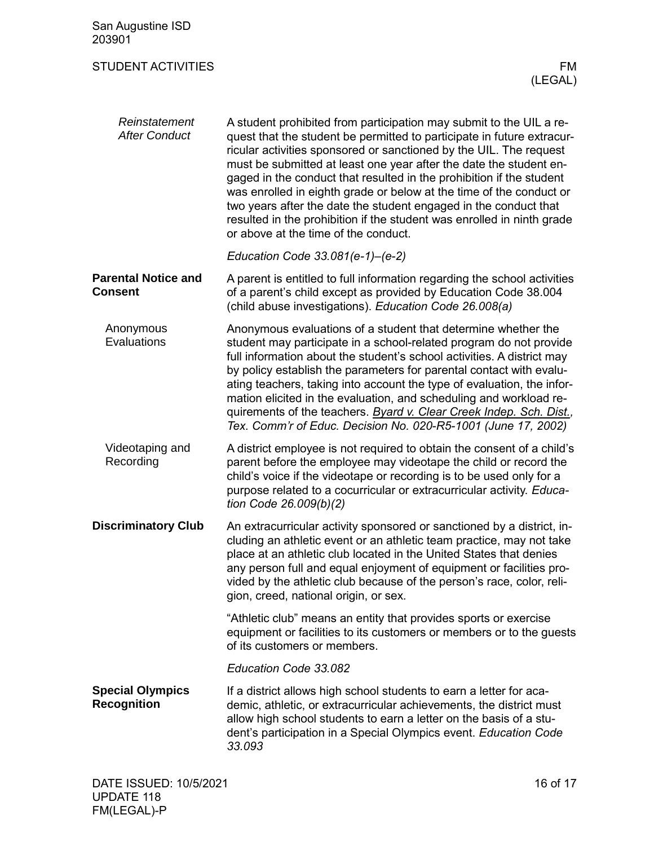<span id="page-15-4"></span><span id="page-15-3"></span><span id="page-15-2"></span><span id="page-15-1"></span><span id="page-15-0"></span>

| San Augustine ISD<br>203901                   |                                                                                                                                                                                                                                                                                                                                                                                                                                                                                                                                                                                                                                |
|-----------------------------------------------|--------------------------------------------------------------------------------------------------------------------------------------------------------------------------------------------------------------------------------------------------------------------------------------------------------------------------------------------------------------------------------------------------------------------------------------------------------------------------------------------------------------------------------------------------------------------------------------------------------------------------------|
| <b>STUDENT ACTIVITIES</b>                     | FM.<br>(LEGAL)                                                                                                                                                                                                                                                                                                                                                                                                                                                                                                                                                                                                                 |
| Reinstatement<br><b>After Conduct</b>         | A student prohibited from participation may submit to the UIL a re-<br>quest that the student be permitted to participate in future extracur-<br>ricular activities sponsored or sanctioned by the UIL. The request<br>must be submitted at least one year after the date the student en-<br>gaged in the conduct that resulted in the prohibition if the student<br>was enrolled in eighth grade or below at the time of the conduct or<br>two years after the date the student engaged in the conduct that<br>resulted in the prohibition if the student was enrolled in ninth grade<br>or above at the time of the conduct. |
|                                               | Education Code 33.081(e-1)-(e-2)                                                                                                                                                                                                                                                                                                                                                                                                                                                                                                                                                                                               |
| <b>Parental Notice and</b><br><b>Consent</b>  | A parent is entitled to full information regarding the school activities<br>of a parent's child except as provided by Education Code 38.004<br>(child abuse investigations). Education Code 26.008(a)                                                                                                                                                                                                                                                                                                                                                                                                                          |
| Anonymous<br>Evaluations                      | Anonymous evaluations of a student that determine whether the<br>student may participate in a school-related program do not provide<br>full information about the student's school activities. A district may<br>by policy establish the parameters for parental contact with evalu-<br>ating teachers, taking into account the type of evaluation, the infor-<br>mation elicited in the evaluation, and scheduling and workload re-<br>quirements of the teachers. Byard v. Clear Creek Indep. Sch. Dist.,<br>Tex. Comm'r of Educ. Decision No. 020-R5-1001 (June 17, 2002)                                                   |
| Videotaping and<br>Recording                  | A district employee is not required to obtain the consent of a child's<br>parent before the employee may videotape the child or record the<br>child's voice if the videotape or recording is to be used only for a<br>purpose related to a cocurricular or extracurricular activity. Educa-<br>tion Code 26.009(b)(2)                                                                                                                                                                                                                                                                                                          |
| <b>Discriminatory Club</b>                    | An extracurricular activity sponsored or sanctioned by a district, in-<br>cluding an athletic event or an athletic team practice, may not take<br>place at an athletic club located in the United States that denies<br>any person full and equal enjoyment of equipment or facilities pro-<br>vided by the athletic club because of the person's race, color, reli-<br>gion, creed, national origin, or sex.                                                                                                                                                                                                                  |
|                                               | "Athletic club" means an entity that provides sports or exercise<br>equipment or facilities to its customers or members or to the guests<br>of its customers or members.                                                                                                                                                                                                                                                                                                                                                                                                                                                       |
|                                               | Education Code 33.082                                                                                                                                                                                                                                                                                                                                                                                                                                                                                                                                                                                                          |
| <b>Special Olympics</b><br><b>Recognition</b> | If a district allows high school students to earn a letter for aca-<br>demic, athletic, or extracurricular achievements, the district must<br>allow high school students to earn a letter on the basis of a stu-<br>dent's participation in a Special Olympics event. Education Code<br>33.093                                                                                                                                                                                                                                                                                                                                 |